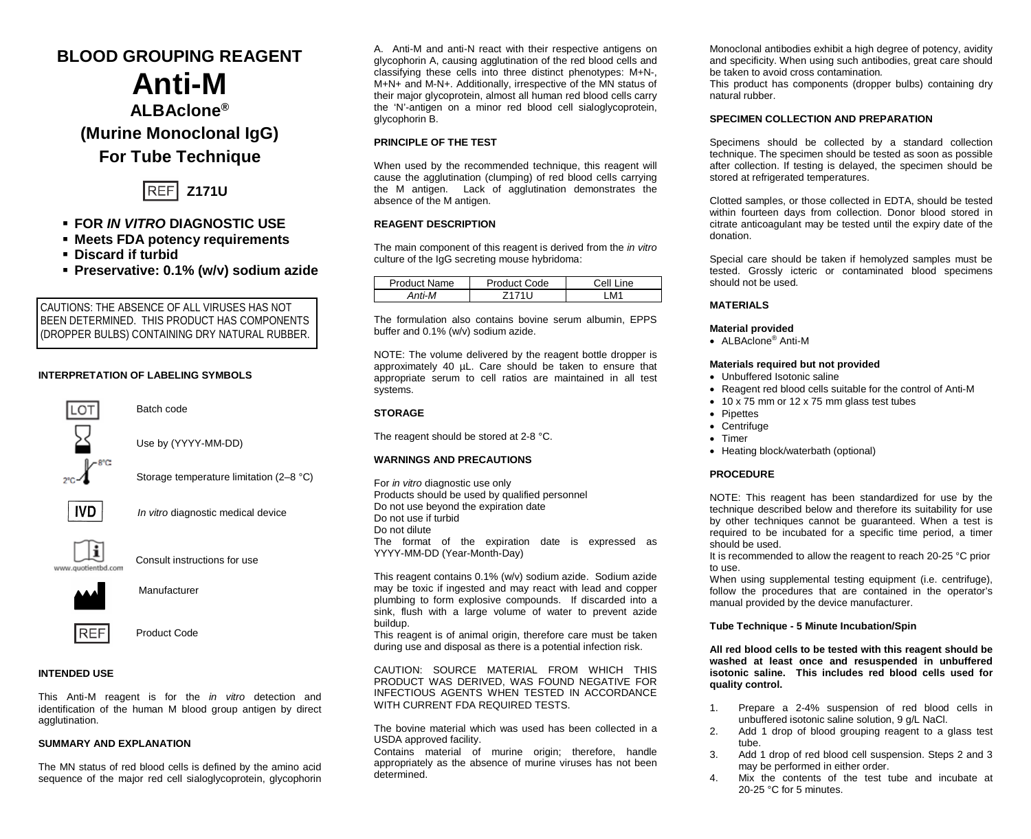# **BLOOD GROUPING REAGENT**

# **Anti-M ALBAclone® (Murine Monoclonal IgG)**

# **For Tube Technique**



# **FOR** *IN VITRO* **DIAGNOSTIC USE**

- **Meets FDA potency requirements**
- **Discard if turbid**
- **Preservative: 0.1% (w/v) sodium azide**

CAUTIONS: THE ABSENCE OF ALL VIRUSES HAS NOT BEEN DETERMINED. THIS PRODUCT HAS COMPONENTS (DROPPER BULBS) CONTAINING DRY NATURAL RUBBER.

### **INTERPRETATION OF LABELING SYMBOLS**



#### **INTENDED USE**

This Anti-M reagent is for the *in vitro* detection and identification of the human M blood group antigen by direct agglutination.

#### **SUMMARY AND EXPLANATION**

The MN status of red blood cells is defined by the amino acid sequence of the major red cell sialoglycoprotein, glycophorin A. Anti-M and anti-N react with their respective antigens on glycophorin A, causing agglutination of the red blood cells and classifying these cells into three distinct phenotypes: M+N-, M+N+ and M-N+. Additionally, irrespective of the MN status of their major glycoprotein, almost all human red blood cells carry the 'N'-antigen on a minor red blood cell sialoglycoprotein, glycophorin B.

#### **PRINCIPLE OF THE TEST**

When used by the recommended technique, this reagent will cause the agglutination (clumping) of red blood cells carrying the M antigen. Lack of agglutination demonstrates the absence of the M antigen.

#### **REAGENT DESCRIPTION**

The main component of this reagent is derived from the *in vitro* culture of the IgG secreting mouse hybridoma:

| Product Name | roduct Code | Cell<br>ine          |
|--------------|-------------|----------------------|
| Anti-M       |             | <b>M<sup>4</sup></b> |

The formulation also contains bovine serum albumin, EPPS buffer and 0.1% (w/v) sodium azide.

NOTE: The volume delivered by the reagent bottle dropper is approximately 40 µL. Care should be taken to ensure that appropriate serum to cell ratios are maintained in all test systems.

#### **STORAGE**

The reagent should be stored at 2-8 °C.

#### **WARNINGS AND PRECAUTIONS**

For *in vitro* diagnostic use only Products should be used by qualified personnel Do not use beyond the expiration date Do not use if turbid Do not dilute The format of the expiration date is expressed as YYYY-MM-DD (Year-Month-Day)

This reagent contains 0.1% (w/v) sodium azide. Sodium azide may be toxic if ingested and may react with lead and copper plumbing to form explosive compounds. If discarded into a sink, flush with a large volume of water to prevent azide buildup.

This reagent is of animal origin, therefore care must be taken during use and disposal as there is a potential infection risk.

CAUTION: SOURCE MATERIAL FROM WHICH THIS PRODUCT WAS DERIVED, WAS FOUND NEGATIVE FOR INFECTIOUS AGENTS WHEN TESTED IN ACCORDANCE WITH CURRENT FDA REQUIRED TESTS.

The bovine material which was used has been collected in a USDA approved facility.

Contains material of murine origin; therefore, handle appropriately as the absence of murine viruses has not been determined.

Monoclonal antibodies exhibit a high degree of potency, avidity and specificity. When using such antibodies, great care should be taken to avoid cross contamination*.*

This product has components (dropper bulbs) containing dry natural rubber.

## **SPECIMEN COLLECTION AND PREPARATION**

Specimens should be collected by a standard collection technique. The specimen should be tested as soon as possible after collection. If testing is delayed, the specimen should be stored at refrigerated temperatures.

Clotted samples, or those collected in EDTA, should be tested within fourteen days from collection. Donor blood stored in citrate anticoagulant may be tested until the expiry date of the donation.

Special care should be taken if hemolyzed samples must be tested. Grossly icteric or contaminated blood specimens should not be used.

#### **MATERIALS**

#### **Material provided**

• ALBAclone® Anti-M

#### **Materials required but not provided**

- Unbuffered Isotonic saline
- Reagent red blood cells suitable for the control of Anti-M
- 10 x 75 mm or 12 x 75 mm glass test tubes
- Pipettes
- Centrifuge
- Timer
- Heating block/waterbath (optional)

#### **PROCEDURE**

NOTE: This reagent has been standardized for use by the technique described below and therefore its suitability for use by other techniques cannot be guaranteed. When a test is required to be incubated for a specific time period, a timer should be used.

It is recommended to allow the reagent to reach 20-25 °C prior to use.

When using supplemental testing equipment (i.e. centrifuge), follow the procedures that are contained in the operator's manual provided by the device manufacturer.

#### **Tube Technique - 5 Minute Incubation/Spin**

**All red blood cells to be tested with this reagent should be washed at least once and resuspended in unbuffered isotonic saline. This includes red blood cells used for quality control.**

- 1. Prepare a 2-4% suspension of red blood cells in unbuffered isotonic saline solution, 9 g/L NaCl.
- 2. Add 1 drop of blood grouping reagent to a glass test tube.
- 3. Add 1 drop of red blood cell suspension. Steps 2 and 3 may be performed in either order.
- 4. Mix the contents of the test tube and incubate at 20-25 °C for 5 minutes.